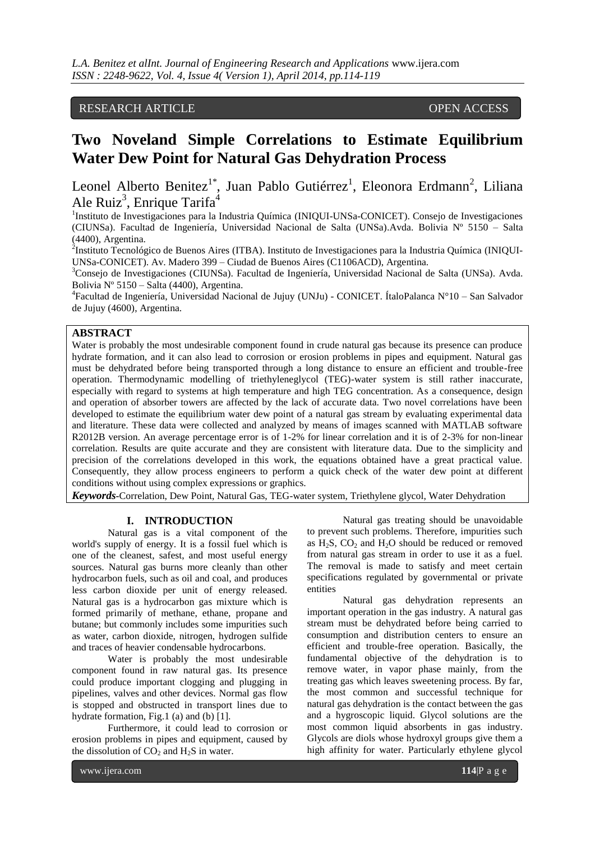# RESEARCH ARTICLE OPEN ACCESS

# **Two Noveland Simple Correlations to Estimate Equilibrium Water Dew Point for Natural Gas Dehydration Process**

Leonel Alberto Benitez<sup>1\*</sup>, Juan Pablo Gutiérrez<sup>1</sup>, Eleonora Erdmann<sup>2</sup>, Liliana Ale Ruiz<sup>3</sup>, Enrique Tarifa<sup>4</sup>

<sup>1</sup>Instituto de Investigaciones para la Industria Química (INIQUI-UNSa-CONICET). Consejo de Investigaciones (CIUNSa). Facultad de Ingeniería, Universidad Nacional de Salta (UNSa).Avda. Bolivia Nº 5150 – Salta (4400), Argentina.

<sup>2</sup>Instituto Tecnológico de Buenos Aires (ITBA). Instituto de Investigaciones para la Industria Química (INIQUI-UNSa-CONICET). Av. Madero 399 – Ciudad de Buenos Aires (C1106ACD), Argentina.

<sup>3</sup>Consejo de Investigaciones (CIUNSa). Facultad de Ingeniería, Universidad Nacional de Salta (UNSa). Avda. Bolivia Nº 5150 – Salta (4400), Argentina.

4 Facultad de Ingeniería, Universidad Nacional de Jujuy (UNJu) - CONICET. ÍtaloPalanca N°10 – San Salvador de Jujuy (4600), Argentina.

# **ABSTRACT**

Water is probably the most undesirable component found in crude natural gas because its presence can produce hydrate formation, and it can also lead to corrosion or erosion problems in pipes and equipment. Natural gas must be dehydrated before being transported through a long distance to ensure an efficient and trouble-free operation. Thermodynamic modelling of triethyleneglycol (TEG)-water system is still rather inaccurate, especially with regard to systems at high temperature and high TEG concentration. As a consequence, design and operation of absorber towers are affected by the lack of accurate data. Two novel correlations have been developed to estimate the equilibrium water dew point of a natural gas stream by evaluating experimental data and literature. These data were collected and analyzed by means of images scanned with MATLAB software R2012B version. An average percentage error is of 1-2% for linear correlation and it is of 2-3% for non-linear correlation. Results are quite accurate and they are consistent with literature data. Due to the simplicity and precision of the correlations developed in this work, the equations obtained have a great practical value. Consequently, they allow process engineers to perform a quick check of the water dew point at different conditions without using complex expressions or graphics.

*Keywords***-**Correlation, Dew Point, Natural Gas, TEG-water system, Triethylene glycol, Water Dehydration

## **I. INTRODUCTION**

Natural gas is a vital component of the world's supply of energy. It is a fossil fuel which is one of the cleanest, safest, and most useful energy sources. Natural gas burns more cleanly than other hydrocarbon fuels, such as oil and coal, and produces less carbon dioxide per unit of energy released. Natural gas is a hydrocarbon gas mixture which is formed primarily of methane, ethane, propane and butane; but commonly includes some impurities such as water, carbon dioxide, nitrogen, hydrogen sulfide and traces of heavier condensable hydrocarbons.

Water is probably the most undesirable component found in raw natural gas. Its presence could produce important clogging and plugging in pipelines, valves and other devices. Normal gas flow is stopped and obstructed in transport lines due to hydrate formation, Fig.1 (a) and (b) [1].

Furthermore, it could lead to corrosion or erosion problems in pipes and equipment, caused by the dissolution of  $CO<sub>2</sub>$  and  $H<sub>2</sub>S$  in water.

Natural gas treating should be unavoidable to prevent such problems. Therefore, impurities such as  $H_2S$ ,  $CO_2$  and  $H_2O$  should be reduced or removed from natural gas stream in order to use it as a fuel. The removal is made to satisfy and meet certain specifications regulated by governmental or private entities

Natural gas dehydration represents an important operation in the gas industry. A natural gas stream must be dehydrated before being carried to consumption and distribution centers to ensure an efficient and trouble-free operation. Basically, the fundamental objective of the dehydration is to remove water, in vapor phase mainly, from the treating gas which leaves sweetening process. By far, the most common and successful technique for natural gas dehydration is the contact between the gas and a hygroscopic liquid. Glycol solutions are the most common liquid absorbents in gas industry. Glycols are diols whose hydroxyl groups give them a high affinity for water. Particularly ethylene glycol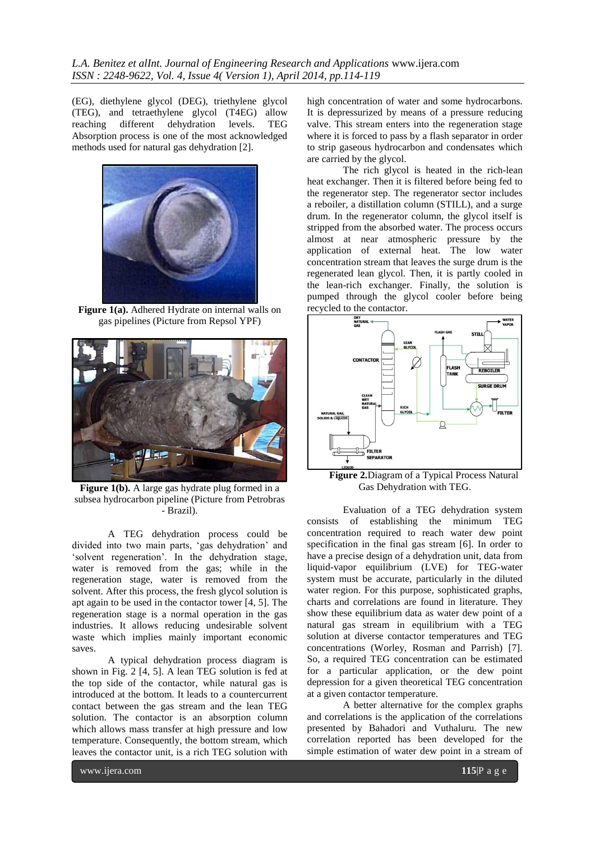(EG), diethylene glycol (DEG), triethylene glycol (TEG), and tetraethylene glycol (T4EG) allow reaching different dehydration levels. TEG Absorption process is one of the most acknowledged methods used for natural gas dehydration [2].



**Figure 1(a).** Adhered Hydrate on internal walls on gas pipelines (Picture from Repsol YPF)



**Figure 1(b).** A large gas hydrate plug formed in a subsea hydrocarbon pipeline (Picture from Petrobras - Brazil).

A TEG dehydration process could be divided into two main parts, 'gas dehydration' and 'solvent regeneration'. In the dehydration stage, water is removed from the gas; while in the regeneration stage, water is removed from the solvent. After this process, the fresh glycol solution is apt again to be used in the contactor tower [4, 5]. The regeneration stage is a normal operation in the gas industries. It allows reducing undesirable solvent waste which implies mainly important economic saves.

A typical dehydration process diagram is shown in Fig. 2 [4, 5]. A lean TEG solution is fed at the top side of the contactor, while natural gas is introduced at the bottom. It leads to a countercurrent contact between the gas stream and the lean TEG solution. The contactor is an absorption column which allows mass transfer at high pressure and low temperature. Consequently, the bottom stream, which leaves the contactor unit, is a rich TEG solution with

high concentration of water and some hydrocarbons. It is depressurized by means of a pressure reducing valve. This stream enters into the regeneration stage where it is forced to pass by a flash separator in order to strip gaseous hydrocarbon and condensates which are carried by the glycol.

The rich glycol is heated in the rich-lean heat exchanger. Then it is filtered before being fed to the regenerator step. The regenerator sector includes a reboiler, a distillation column (STILL), and a surge drum. In the regenerator column, the glycol itself is stripped from the absorbed water. The process occurs almost at near atmospheric pressure by the application of external heat. The low water concentration stream that leaves the surge drum is the regenerated lean glycol. Then, it is partly cooled in the lean-rich exchanger. Finally, the solution is pumped through the glycol cooler before being recycled to the contactor.



**Figure 2.**Diagram of a Typical Process Natural Gas Dehydration with TEG.

Evaluation of a TEG dehydration system consists of establishing the minimum TEG concentration required to reach water dew point specification in the final gas stream [6]. In order to have a precise design of a dehydration unit, data from liquid-vapor equilibrium (LVE) for TEG-water system must be accurate, particularly in the diluted water region. For this purpose, sophisticated graphs, charts and correlations are found in literature. They show these equilibrium data as water dew point of a natural gas stream in equilibrium with a TEG solution at diverse contactor temperatures and TEG concentrations (Worley, Rosman and Parrish) [7]. So, a required TEG concentration can be estimated for a particular application, or the dew point depression for a given theoretical TEG concentration at a given contactor temperature.

A better alternative for the complex graphs and correlations is the application of the correlations presented by Bahadori and Vuthaluru. The new correlation reported has been developed for the simple estimation of water dew point in a stream of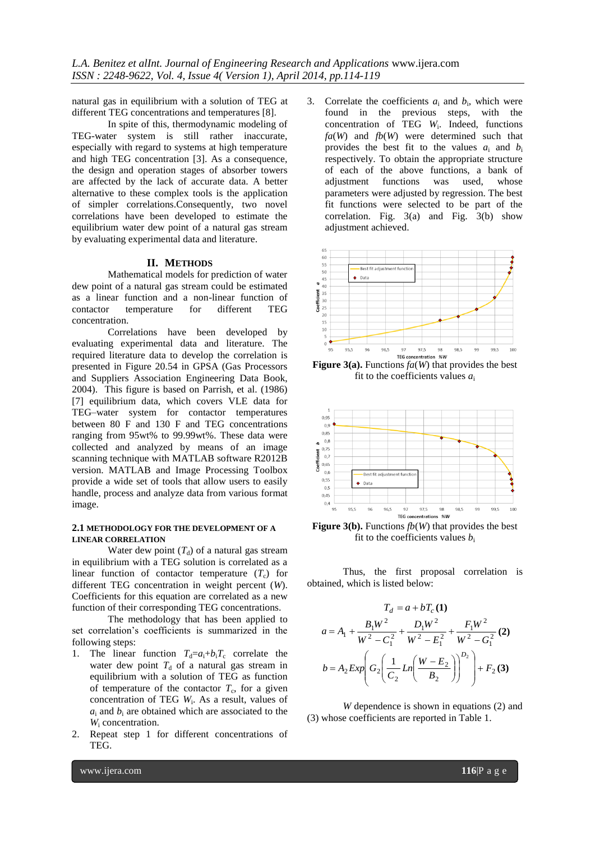natural gas in equilibrium with a solution of TEG at different TEG concentrations and temperatures [8].

In spite of this, thermodynamic modeling of TEG-water system is still rather inaccurate, especially with regard to systems at high temperature and high TEG concentration [3]. As a consequence, the design and operation stages of absorber towers are affected by the lack of accurate data. A better alternative to these complex tools is the application of simpler correlations.Consequently, two novel correlations have been developed to estimate the equilibrium water dew point of a natural gas stream by evaluating experimental data and literature.

# **II. METHODS**

Mathematical models for prediction of water dew point of a natural gas stream could be estimated as a linear function and a non-linear function of contactor temperature for different TEG concentration.

Correlations have been developed by evaluating experimental data and literature. The required literature data to develop the correlation is presented in Figure 20.54 in GPSA (Gas Processors and Suppliers Association Engineering Data Book, 2004). This figure is based on Parrish, et al. (1986) [7] equilibrium data, which covers VLE data for TEG–water system for contactor temperatures between 80 F and 130 F and TEG concentrations ranging from 95wt% to 99.99wt%. These data were collected and analyzed by means of an image scanning technique with MATLAB software R2012B version. MATLAB and Image Processing Toolbox provide a wide set of tools that allow users to easily handle, process and analyze data from various format image.

### **2.1 METHODOLOGY FOR THE DEVELOPMENT OF A LINEAR CORRELATION**

Water dew point  $(T_d)$  of a natural gas stream in equilibrium with a TEG solution is correlated as a linear function of contactor temperature  $(T_c)$  for different TEG concentration in weight percent (*W*). Coefficients for this equation are correlated as a new function of their corresponding TEG concentrations.

The methodology that has been applied to set correlation's coefficients is summarized in the following steps:

- 1. The linear function  $T_d=a_i+b_iT_c$  correlate the water dew point  $T<sub>d</sub>$  of a natural gas stream in equilibrium with a solution of TEG as function of temperature of the contactor  $T_c$ , for a given concentration of TEG *W*<sup>i</sup> . As a result, values of  $a_i$  and  $b_i$  are obtained which are associated to the *W*<sup>i</sup> concentration.
- 2. Repeat step 1 for different concentrations of TEG.

3. Correlate the coefficients  $a_i$  and  $b_i$ , which were found in the previous steps, with the concentration of TEG *W*<sup>i</sup> . Indeed, functions *fa*(*W*) and *fb*(*W*) were determined such that provides the best fit to the values  $a_i$  and  $b_i$ respectively. To obtain the appropriate structure of each of the above functions, a bank of adjustment functions was used, whose parameters were adjusted by regression. The best fit functions were selected to be part of the correlation. Fig. 3(a) and Fig. 3(b) show adjustment achieved.



**Figure 3(a).** Functions  $fa(W)$  that provides the best fit to the coefficients values *a*<sup>i</sup>



**Figure 3(b).** Functions  $fb(W)$  that provides the best fit to the coefficients values  $b_i$ 

Thus, the first proposal correlation is obtained, which is listed below:

$$
T_d = a + bT_c \textbf{(1)}
$$
  
\n
$$
a = A_1 + \frac{B_1 W^2}{W^2 - C_1^2} + \frac{D_1 W^2}{W^2 - E_1^2} + \frac{F_1 W^2}{W^2 - G_1^2} \textbf{(2)}
$$
  
\n
$$
b = A_2 Exp \left( G_2 \left( \frac{1}{C_2} Ln \left( \frac{W - E_2}{B_2} \right) \right)^{D_2} \right) + F_2 \textbf{(3)}
$$

*W* dependence is shown in equations (2) and (3) whose coefficients are reported in Table 1.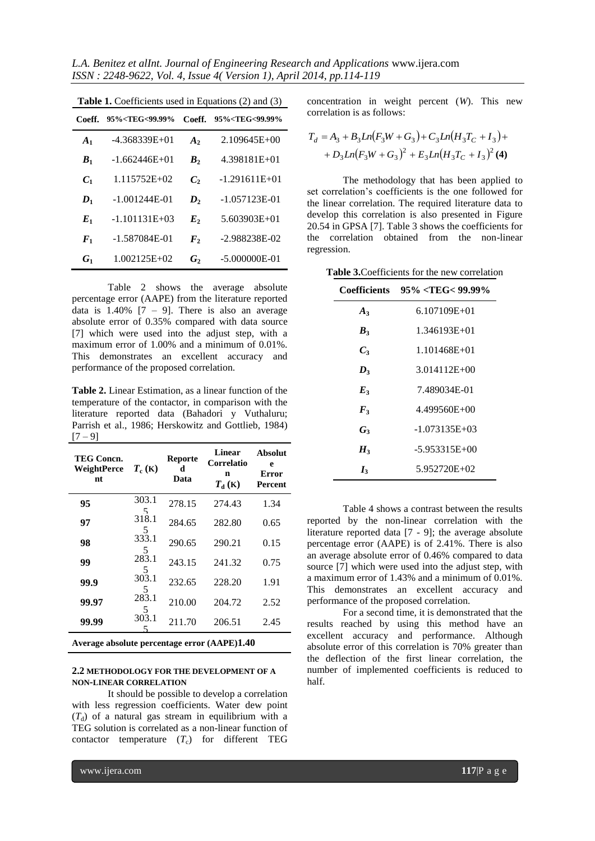*L.A. Benitez et alInt. Journal of Engineering Research and Applications* www.ijera.com *ISSN : 2248-9622, Vol. 4, Issue 4( Version 1), April 2014, pp.114-119*

| <b>Table 1.</b> Coefficients used in Equations (2) and (3) |                                                                                                   |                    |                                       |  |  |  |
|------------------------------------------------------------|---------------------------------------------------------------------------------------------------|--------------------|---------------------------------------|--|--|--|
| Coeff.                                                     | 95% <teg<99.99%< th=""><th>Coeff.</th><th>95%<teg<99.99%< th=""></teg<99.99%<></th></teg<99.99%<> | Coeff.             | 95% <teg<99.99%< th=""></teg<99.99%<> |  |  |  |
| A <sub>1</sub>                                             | $-4.368339E+01$                                                                                   | A <sub>2</sub>     | $2.109645E + 00$                      |  |  |  |
| B <sub>1</sub>                                             | $-1.662446E+01$                                                                                   | $\bm{B}$ ,         | 4.398181E+01                          |  |  |  |
| C <sub>1</sub>                                             | 1.115752E+02                                                                                      | $\mathcal{C}$      | $-1.291611E+01$                       |  |  |  |
| $\boldsymbol{D}_1$                                         | $-1.001244E-01$                                                                                   | $\boldsymbol{D}_2$ | $-1.057123E-01$                       |  |  |  |
| $E_1$                                                      | $-1.101131E+03$                                                                                   | $E_{2}$            | 5.603903E+01                          |  |  |  |
| $\boldsymbol{F}_1$                                         | -1.587084E-01                                                                                     | $\bm{F}_{2}$       | $-2.988238E-02$                       |  |  |  |
| $G_1$                                                      | 1.002125E+02                                                                                      | $\bm{G_2}$         | $-5.000000E - 01$                     |  |  |  |

Table 2 shows the average absolute percentage error (AAPE) from the literature reported data is  $1.40\%$  [7 – 9]. There is also an average absolute error of 0.35% compared with data source [7] which were used into the adjust step, with a maximum error of 1.00% and a minimum of 0.01%. This demonstrates an excellent accuracy and performance of the proposed correlation.

**Table 2.** Linear Estimation, as a linear function of the temperature of the contactor, in comparison with the literature reported data (Bahadori y Vuthaluru; Parrish et al., 1986; Herskowitz and Gottlieb, 1984)  $[7 - 9]$ 

| <b>TEG Concn.</b><br><b>WeightPerce</b><br>nt | $T_c$ (K)  | <b>Reporte</b><br>d<br>Data | <b>Linear</b><br>Correlatio<br>n<br>$T_{\rm d}$ (K) | <b>Absolut</b><br>e<br><b>Error</b><br>Percent |
|-----------------------------------------------|------------|-----------------------------|-----------------------------------------------------|------------------------------------------------|
| 95                                            | 303.1<br>5 | 278.15                      | 274.43                                              | 1.34                                           |
| 97                                            | 318.1<br>5 | 284.65                      | 282.80                                              | 0.65                                           |
| 98                                            | 333.1<br>5 | 290.65                      | 290.21                                              | 0.15                                           |
| 99                                            | 283.1<br>5 | 243.15                      | 241.32                                              | 0.75                                           |
| 99.9                                          | 303.1<br>5 | 232.65                      | 228.20                                              | 1.91                                           |
| 99.97                                         | 283.1<br>5 | 210.00                      | 204.72                                              | 2.52                                           |
| 99.99                                         | 303.1      | 211.70                      | 206.51                                              | 2.45                                           |
|                                               |            |                             |                                                     |                                                |

**Average absolute percentage error (AAPE)1.40**

# **2.2 METHODOLOGY FOR THE DEVELOPMENT OF A NON-LINEAR CORRELATION**

It should be possible to develop a correlation with less regression coefficients. Water dew point  $(T_d)$  of a natural gas stream in equilibrium with a TEG solution is correlated as a non-linear function of contactor temperature  $(T_c)$  for different TEG

concentration in weight percent (*W*). This new correlation is as follows:

$$
T_d = A_3 + B_3Ln(F_3W + G_3) + C_3Ln(H_3T_C + I_3) ++ D_3Ln(F_3W + G_3)^2 + E_3Ln(H_3T_C + I_3)^2
$$
 (4)

The methodology that has been applied to set correlation's coefficients is the one followed for the linear correlation. The required literature data to develop this correlation is also presented in Figure 20.54 in GPSA [7]. Table 3 shows the coefficients for the correlation obtained from the non-linear regression.

**Table 3.**Coefficients for the new correlation

|                  | $Coefficients \quad 95\% < TEG < 99.99\%$ |  |
|------------------|-------------------------------------------|--|
| $A_3$            | 6.107109E+01                              |  |
| $\bm{B}_3$       | 1.346193E+01                              |  |
| $C_{3}$          | 1.101468E+01                              |  |
| $\bm{D}_3$       | 3.014112E+00                              |  |
| $E_{3}$          | 7.489034E-01                              |  |
| $\mathbf{F}_{3}$ | 4.499560E+00                              |  |
| $G_3$            | $-1.073135E+03$                           |  |
| $H_3$            | $-5.953315E+00$                           |  |
| $I_3$            | 5.952720E+02                              |  |

Table 4 shows a contrast between the results reported by the non-linear correlation with the literature reported data [7 - 9]; the average absolute percentage error (AAPE) is of 2.41%. There is also an average absolute error of 0.46% compared to data source [7] which were used into the adjust step, with a maximum error of 1.43% and a minimum of 0.01%. This demonstrates an excellent accuracy and performance of the proposed correlation.

For a second time, it is demonstrated that the results reached by using this method have an excellent accuracy and performance. Although absolute error of this correlation is 70% greater than the deflection of the first linear correlation, the number of implemented coefficients is reduced to half.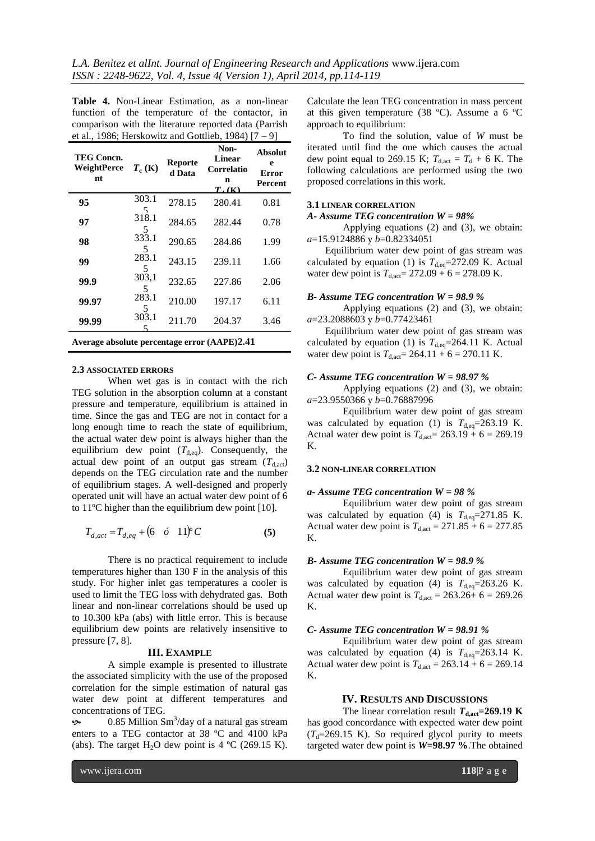**Table 4.** Non-Linear Estimation, as a non-linear function of the temperature of the contactor, in comparison with the literature reported data (Parrish et al., 1986; Herskowitz and Gottlieb, 1984) [7 – 9]

| TEG Concn.<br><b>WeightPerce</b><br>nt                                         | $T_c$ (K)   | <b>Reporte</b><br>d Data | Non-<br><b>Linear</b><br>Correlatio<br>n<br>$T_{\rm h}(K)$ | <b>Absolut</b><br>e<br><b>Error</b><br>Percent |  |
|--------------------------------------------------------------------------------|-------------|--------------------------|------------------------------------------------------------|------------------------------------------------|--|
| 95                                                                             | 303.1<br>5  | 278.15                   | 280.41                                                     | 0.81                                           |  |
| 97                                                                             | 318.1<br>5  | 284.65                   | 282.44                                                     | 0.78                                           |  |
| 98                                                                             | 333.1<br>5  | 290.65                   | 284.86                                                     | 1.99                                           |  |
| 99                                                                             | 283.1<br>5  | 243.15                   | 239.11                                                     | 1.66                                           |  |
| 99.9                                                                           | 303,1<br>5. | 232.65                   | 227.86                                                     | 2.06                                           |  |
| 99.97                                                                          | 283.1<br>5  | 210.00                   | 197.17                                                     | 6.11                                           |  |
| 99.99                                                                          | 303.1       | 211.70                   | 204.37                                                     | 3.46                                           |  |
| $\lambda$ -corrected a leader to correct the second $(A \land \text{DF})$ 2.41 |             |                          |                                                            |                                                |  |

**Average absolute percentage error (AAPE)2.41**

# **2.3 ASSOCIATED ERRORS**

When wet gas is in contact with the rich TEG solution in the absorption column at a constant pressure and temperature, equilibrium is attained in time. Since the gas and TEG are not in contact for a long enough time to reach the state of equilibrium, the actual water dew point is always higher than the equilibrium dew point  $(T_{d,eq})$ . Consequently, the actual dew point of an output gas stream  $(T_{d,act})$ depends on the TEG circulation rate and the number of equilibrium stages. A well-designed and properly operated unit will have an actual water dew point of 6 to 11ºC higher than the equilibrium dew point [10].

$$
T_{d,act} = T_{d,eq} + (6 \quad \phi \quad 11)^{\circ} C \tag{5}
$$

There is no practical requirement to include temperatures higher than 130 F in the analysis of this study. For higher inlet gas temperatures a cooler is used to limit the TEG loss with dehydrated gas. Both linear and non-linear correlations should be used up to 10.300 kPa (abs) with little error. This is because equilibrium dew points are relatively insensitive to pressure [7, 8].

#### **III. EXAMPLE**

A simple example is presented to illustrate the associated simplicity with the use of the proposed correlation for the simple estimation of natural gas water dew point at different temperatures and concentrations of TEG.

 $\bullet$  0.85 Million Sm<sup>3</sup>/day of a natural gas stream enters to a TEG contactor at 38 ºC and 4100 kPa (abs). The target  $H_2O$  dew point is 4 °C (269.15 K).

Calculate the lean TEG concentration in mass percent at this given temperature (38 ºC). Assume a 6 ºC approach to equilibrium:

To find the solution, value of *W* must be iterated until find the one which causes the actual dew point equal to 269.15 K;  $T_{\text{d,act}} = T_d + 6$  K. The following calculations are performed using the two proposed correlations in this work.

#### **3.1 LINEAR CORRELATION**

# *A- Assume TEG concentration W = 98%*

Applying equations (2) and (3), we obtain: *a*=15.9124886 y *b*=0.82334051

Equilibrium water dew point of gas stream was calculated by equation (1) is  $T_{\text{d,eq}}$ =272.09 K. Actual water dew point is  $T_{d,act} = 272.09 + 6 = 278.09$  K.

#### *B- Assume TEG concentration W = 98.9 %*

Applying equations (2) and (3), we obtain: *a*=23.2088603 y *b*=0.77423461

Equilibrium water dew point of gas stream was calculated by equation (1) is  $T_{d,eq}$ =264.11 K. Actual water dew point is  $T_{d,act} = 264.11 + 6 = 270.11$  K.

#### *C- Assume TEG concentration W = 98.97 %*

Applying equations (2) and (3), we obtain: *a*=23.9550366 y *b*=0.76887996

Equilibrium water dew point of gas stream was calculated by equation (1) is  $T_{\text{d,eq}}$ =263.19 K. Actual water dew point is  $T_{d,act} = 263.19 + 6 = 269.19$ K.

#### **3.2 NON-LINEAR CORRELATION**

#### *a- Assume TEG concentration W = 98 %*

Equilibrium water dew point of gas stream was calculated by equation (4) is  $T_{\text{d,eq}} = 271.85$  K. Actual water dew point is  $T_{d,act} = 271.85 + 6 = 277.85$ K.

# *B- Assume TEG concentration W = 98.9 %*

Equilibrium water dew point of gas stream was calculated by equation (4) is  $T_{\text{d,eq}} = 263.26$  K. Actual water dew point is  $T_{d,act} = 263.26 + 6 = 269.26$ K.

# *C- Assume TEG concentration W = 98.91 %*

Equilibrium water dew point of gas stream was calculated by equation (4) is  $T_{\text{d,eq}} = 263.14$  K. Actual water dew point is  $T_{\text{d.act}} = 263.14 + 6 = 269.14$ K.

#### **IV. RESULTS AND DISCUSSIONS**

The linear correlation result  $T_{\text{dact}} = 269.19 \text{ K}$ has good concordance with expected water dew point  $(T_d=269.15 \text{ K})$ . So required glycol purity to meets targeted water dew point is *W***=98.97 %**.The obtained